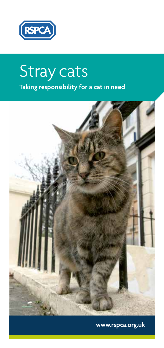

# Stray cats

**Taking responsibility for a cat in need**



**www.rspca.org.uk**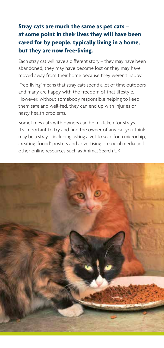### **Stray cats are much the same as pet cats – at some point in their lives they will have been cared for by people, typically living in a home, but they are now free-living.**

Each stray cat will have a different story – they may have been abandoned, they may have become lost or they may have moved away from their home because they weren't happy.

'Free-living' means that stray cats spend a lot of time outdoors and many are happy with the freedom of that lifestyle. However, without somebody responsible helping to keep them safe and well-fed, they can end up with injuries or nasty health problems.

Sometimes cats with owners can be mistaken for strays. It's important to try and find the owner of any cat you think may be a stray – including asking a vet to scan for a microchip, creating 'found' posters and advertising on social media and other online resources such as Animal Search UK.

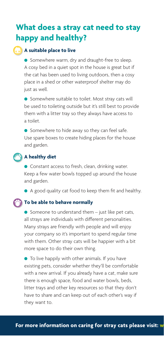## **What does a stray cat need to stay happy and healthy?**

#### **A suitable place to live**

**•** Somewhere warm, dry and draught-free to sleep. A cosy bed in a quiet spot in the house is great but if the cat has been used to living outdoors, then a cosy place in a shed or other waterproof shelter may do just as well.

**•** Somewhere suitable to toilet. Most stray cats will be used to toileting outside but it's still best to provide them with a litter tray so they always have access to a toilet.

 $\bullet$  Somewhere to hide away so they can feel safe. Use spare boxes to create hiding places for the house and garden.



#### **A** healthy diet

**Constant access to fresh, clean, drinking water.** Keep a few water bowls topped up around the house and garden.

 $\bullet$  A good quality cat food to keep them fit and healthy.

#### **To be able to behave normally**

 $\bullet$  Someone to understand them – just like pet cats, all strays are individuals with different personalities. Many strays are friendly with people and will enjoy your company so it's important to spend regular time with them. Other stray cats will be happier with a bit more space to do their own thing.

 $\bullet$  To live happily with other animals. If you have existing pets, consider whether they'll be comfortable with a new arrival. If you already have a cat, make sure there is enough space, food and water bowls, beds, litter trays and other key resources so that they don't have to share and can keep out of each other's way if they want to.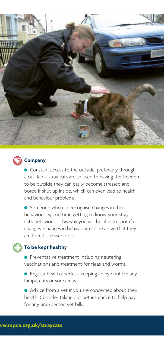



#### **Sompany**

**Constant access to the outside, preferably through** a cat flap – stray cats are so used to having the freedom to be outside they can easily become stressed and bored if shut up inside, which can even lead to health and behaviour problems.

 $\bullet$  Someone who can recognise changes in their behaviour. Spend time getting to know your stray cat's behaviour – this way you will be able to spot if it changes. Changes in behaviour can be a sign that they are bored, stressed or ill.

#### **To be kept healthy**

 $\bullet$  Preventative treatment including neutering, vaccinations and treatment for fleas and worms.

 $\bullet$  Regular health checks – keeping an eye out for any lumps, cuts or sore areas.

 $\bullet$  Advice from a vet if you are concerned about their health. Consider taking out pet insurance to help pay for any unexpected vet bills.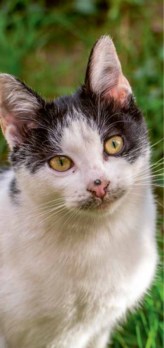